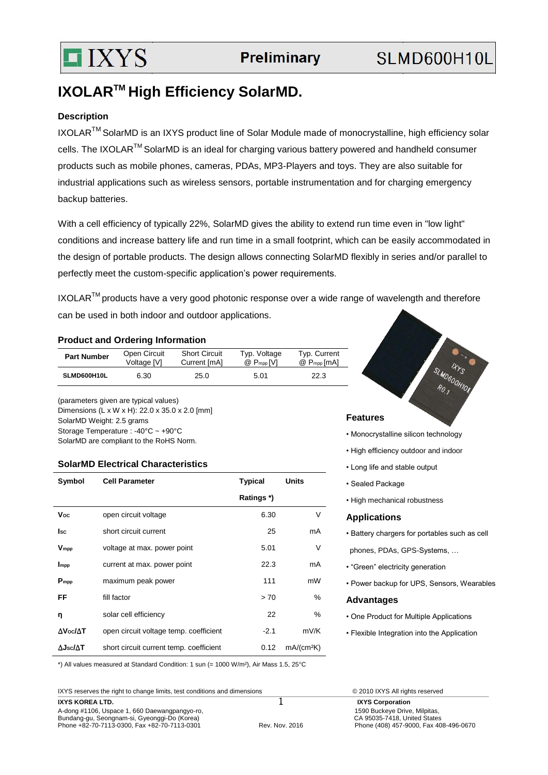

# **IXOLARTM High Efficiency SolarMD.**

### **Description**

IXOLAR<sup>™</sup> SolarMD is an IXYS product line of Solar Module made of monocrystalline, high efficiency solar cells. The IXOLAR<sup>™</sup> SolarMD is an ideal for charging various battery powered and handheld consumer products such as mobile phones, cameras, PDAs, MP3-Players and toys. They are also suitable for industrial applications such as wireless sensors, portable instrumentation and for charging emergency backup batteries.

With a cell efficiency of typically 22%, SolarMD gives the ability to extend run time even in "low light" conditions and increase battery life and run time in a small footprint, which can be easily accommodated in the design of portable products. The design allows connecting SolarMD flexibly in series and/or parallel to perfectly meet the custom-specific application's power requirements.

IXOLAR<sup>™</sup> products have a very good photonic response over a wide range of wavelength and therefore can be used in both indoor and outdoor applications.

#### **Product and Ordering Information**

| <b>Part Number</b> | Open Circuit | <b>Short Circuit</b> | Typ. Voltage             | Typ. Current   |
|--------------------|--------------|----------------------|--------------------------|----------------|
|                    | Voltage [V]  | Current [mA]         | $@$ P <sub>mpp</sub> [V] | $@P_{mpp}[mA]$ |
| SLMD600H10L        | 6.30         | 25.0                 | 5.01                     | 22.3           |

(parameters given are typical values) Dimensions (L x W x H): 22.0 x 35.0 x 2.0 [mm] SolarMD Weight: 2.5 grams Storage Temperature : -40°C ~ +90°C SolarMD are compliant to the RoHS Norm.

#### **SolarMD Electrical Characteristics**

| Symbol                   | <b>Cell Parameter</b>                   | <b>Typical</b> | <b>Units</b>           |
|--------------------------|-----------------------------------------|----------------|------------------------|
|                          |                                         | Ratings *)     |                        |
| Voc                      | open circuit voltage                    | 6.30           | V                      |
| lsc                      | short circuit current                   | 25             | mA                     |
| <b>V</b> mpp             | voltage at max. power point             | 5.01           | V                      |
| Impp                     | current at max. power point             | 22.3           | mA                     |
| $P_{mpp}$                | maximum peak power                      | 111            | mW                     |
| FF                       | fill factor                             | > 70           | %                      |
| η                        | solar cell efficiency                   | 22             | %                      |
| $\Delta$ Voc/ $\Delta$ T | open circuit voltage temp. coefficient  | $-2.1$         | mV/K                   |
| $\Delta$ Jsc/ $\Delta$ T | short circuit current temp. coefficient | 0.12           | mA/(cm <sup>2</sup> K) |



- Monocrystalline silicon technology
- High efficiency outdoor and indoor
- Long life and stable output
- Sealed Package
- High mechanical robustness

#### **Applications**

- Battery chargers for portables such as cell
- phones, PDAs, GPS-Systems, …
- "Green" electricity generation
- Power backup for UPS, Sensors, Wearables

#### **Advantages**

- One Product for Multiple Applications
- Flexible Integration into the Application

\*) All values measured at Standard Condition: 1 sun (= 1000 W/m²), Air Mass 1.5, 25°C

IXYS reserves the right to change limits, test conditions and dimensions © 2010 IXYS All rights reserved

**IXYS KOREA LTD. IXYS Corporation** A-dong #1106, Uspace 1, 660 Daewangpangyo-ro, 1590 Buckeye Drive, Milpitas, 1590 Buckeye Drive, Milpitas, 1590 Buckeye Drive, Milpitas, 1590 Buckeye Drive, Milpitas, 1590 Buckeye Drive, Milpitas, 1590 Buckeye Drive, Milpit Bundang-gu, Seongnam-si, Gyeonggi-Do (Korea)<br>
Phone +82-70-7113-0300, Fax +82-70-7113-0301<br>
Rev. Nov. 2016 Phone +82-70-7113-0300, Fax +82-70-7113-0301 Rev. Nov. 2016 Phone (408) 457-9000, Fax 408-496-0670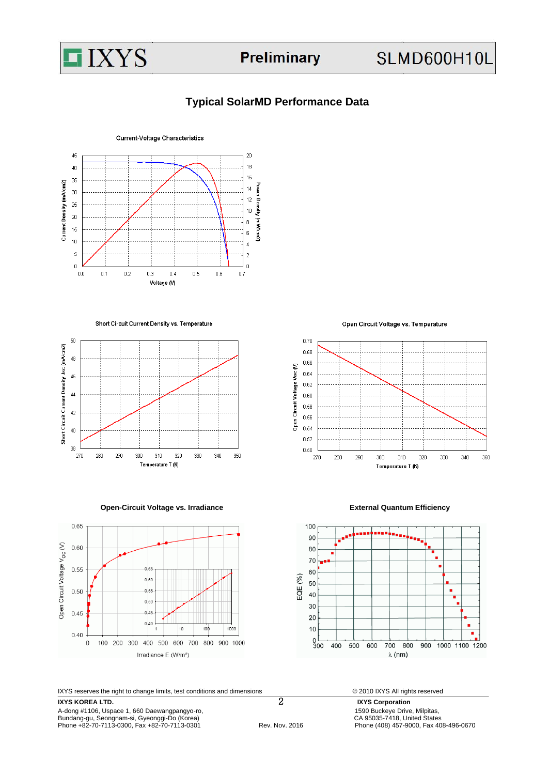

# **SLMD600H10L**

## **Typical SolarMD Performance Data**



Short Circuit Current Density vs. Temperature



**Open-Circuit Voltage vs. Irradiance <b>External Quantum Efficiency** 



IXYS reserves the right to change limits, test conditions and dimensions © 2010 IXYS All rights reserved

**IXYS KOREA LTD.**<br> **IXYS Corporation**<br>
A-dong #1106, Uspace 1, 660 Daewangpangyo-ro,<br> **1590 Buckeye Drive, Milpitas,** A-dong #1106, Uspace 1, 660 Daewangpangyo-ro, 1590 Buckeye Drive, Milpitas, 1590 Buckeye Drive, Milpitas, 1590 Buckeye Drive, Milpitas, 1590 Buckeye Drive, Milpitas, 1590 Buckeye Drive, Milpitas, 1590 Buckeye Drive, Milpit Phone +82-70-7113-0300, Fax +82-70-7113-0301

Open Circuit Voltage vs. Temperature





Bundang-gu, Seongnam-si, Gyeonggi-Do (Korea)<br>
Phone +82-70-7113-0300, Fax +82-70-7113-0301 CA 95035-7418, United States<br>
Phone (408) 457-9000, Fax 408-496-0670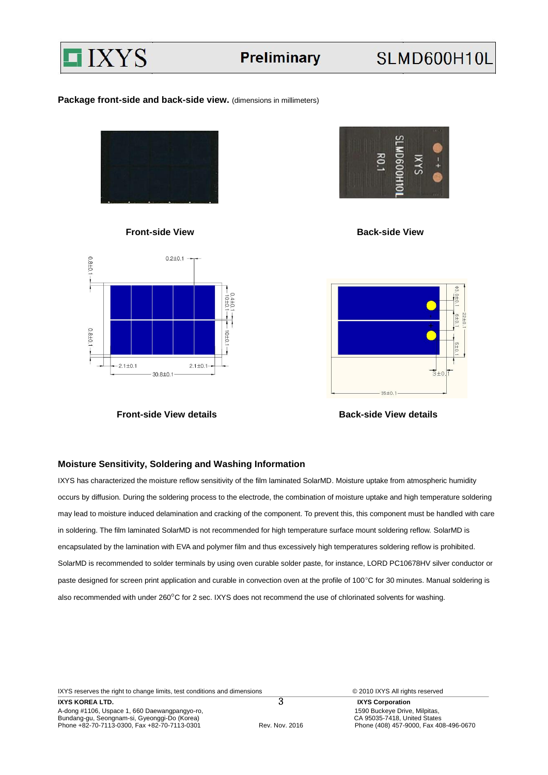

#### Package front-side and back-side view. (dimensions in millimeters)





**Front-side View details Community Community Back-side View details** 



**Front-side View Communication Communication Communication Communication Communication Communication Communication Communication Communication Communication Communication Communication Communication Communication Communica** 



#### **Moisture Sensitivity, Soldering and Washing Information**

IXYS has characterized the moisture reflow sensitivity of the film laminated SolarMD. Moisture uptake from atmospheric humidity occurs by diffusion. During the soldering process to the electrode, the combination of moisture uptake and high temperature soldering may lead to moisture induced delamination and cracking of the component. To prevent this, this component must be handled with care in soldering. The film laminated SolarMD is not recommended for high temperature surface mount soldering reflow. SolarMD is encapsulated by the lamination with EVA and polymer film and thus excessively high temperatures soldering reflow is prohibited. SolarMD is recommended to solder terminals by using oven curable solder paste, for instance, LORD PC10678HV silver conductor or paste designed for screen print application and curable in convection oven at the profile of 100°C for 30 minutes. Manual soldering is also recommended with under 260°C for 2 sec. IXYS does not recommend the use of chlorinated solvents for washing.

IXYS reserves the right to change limits, test conditions and dimensions © 2010 IXYS All rights reserved

**IXYS KOREA LTD. 3** IXYS Corporation A-dong #1106, Uspace 1, 660 Daewangpangyo-ro, 1590 Buckeye Drive, Milpitas, 1590 Buckeye Drive, Milpitas, 1590 Buckeye Drive, Milpitas, 1590 Buckeye Drive, Milpitas, 1590 Buckeye Drive, Milpitas, 1590 Buckeye Drive, Milpit Bundang-gu, Seongnam-si, Gyeonggi-Do (Korea)<br>
26 Bundang-gu, Seongnam-si, Gyeonggi-Do (Korea)<br>
27 Rev. Nov. 2016 CA 95035-7418, United States<br>
27 Phone (408) 457-9000, Fax 408-496-0670 Phone +82-70-7113-0300, Fax +82-70-7113-0301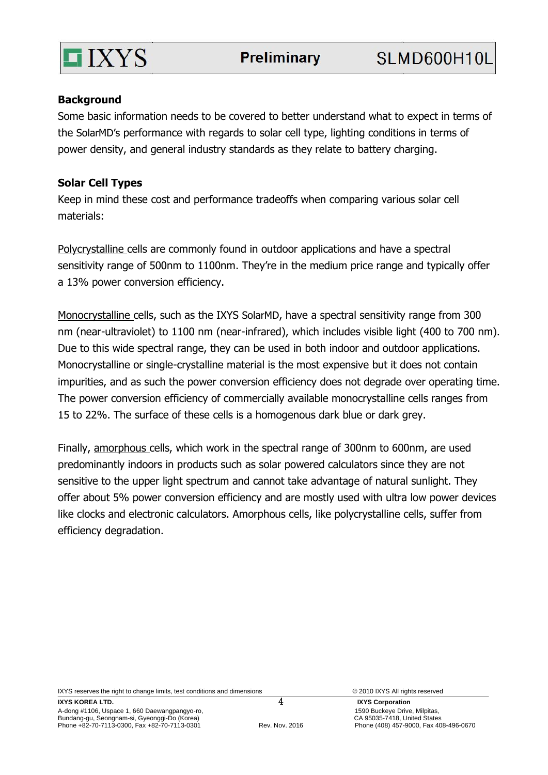

# **Background**

Some basic information needs to be covered to better understand what to expect in terms of the SolarMD's performance with regards to solar cell type, lighting conditions in terms of power density, and general industry standards as they relate to battery charging.

# **Solar Cell Types**

Keep in mind these cost and performance tradeoffs when comparing various solar cell materials:

Polycrystalline cells are commonly found in outdoor applications and have a spectral sensitivity range of 500nm to 1100nm. They're in the medium price range and typically offer a 13% power conversion efficiency.

Monocrystalline cells, such as the IXYS SolarMD, have a spectral sensitivity range from 300 nm (near-ultraviolet) to 1100 nm (near-infrared), which includes visible light (400 to 700 nm). Due to this wide spectral range, they can be used in both indoor and outdoor applications. Monocrystalline or single-crystalline material is the most expensive but it does not contain impurities, and as such the power conversion efficiency does not degrade over operating time. The power conversion efficiency of commercially available monocrystalline cells ranges from 15 to 22%. The surface of these cells is a homogenous dark blue or dark grey.

Finally, amorphous cells, which work in the spectral range of 300nm to 600nm, are used predominantly indoors in products such as solar powered calculators since they are not sensitive to the upper light spectrum and cannot take advantage of natural sunlight. They offer about 5% power conversion efficiency and are mostly used with ultra low power devices like clocks and electronic calculators. Amorphous cells, like polycrystalline cells, suffer from efficiency degradation.

IXYS reserves the right to change limits, test conditions and dimensions © 2010 IXYS All rights reserved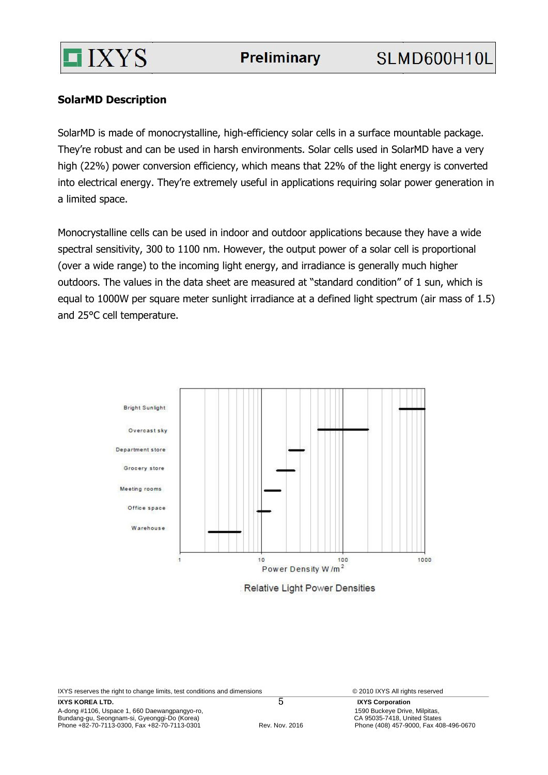

# **SolarMD Description**

SolarMD is made of monocrystalline, high-efficiency solar cells in a surface mountable package. They're robust and can be used in harsh environments. Solar cells used in SolarMD have a very high (22%) power conversion efficiency, which means that 22% of the light energy is converted into electrical energy. They're extremely useful in applications requiring solar power generation in a limited space.

Monocrystalline cells can be used in indoor and outdoor applications because they have a wide spectral sensitivity, 300 to 1100 nm. However, the output power of a solar cell is proportional (over a wide range) to the incoming light energy, and irradiance is generally much higher outdoors. The values in the data sheet are measured at "standard condition" of 1 sun, which is equal to 1000W per square meter sunlight irradiance at a defined light spectrum (air mass of 1.5) and 25°C cell temperature.



**Relative Light Power Densities** 

IXYS reserves the right to change limits, test conditions and dimensions © 2010 IXYS All rights reserved

**IXYS KOREA LTD. IXYS Corporation** A-dong #1106, Uspace 1, 660 Daewangpangyo-ro, 1590 Buckeye Drive, Milpitas, 1590 Buckeye Drive, Milpitas, 1590 Buckeye Drive, Milpitas, 1590 Buckeye Drive, Milpitas, 1590 Buckeye Drive, Milpitas, 1590 Buckeye Drive, Milpit Bundang-gu, Seongnam-si, Gyeonggi-Do (Korea)<br>
Phone +82-70-7113-0300, Fax +82-70-7113-0301 CA 95035-7418, United States<br>
Phone (408) 457-9000, Fax 408-496-0670 Phone +82-70-7113-0300, Fax +82-70-7113-0301